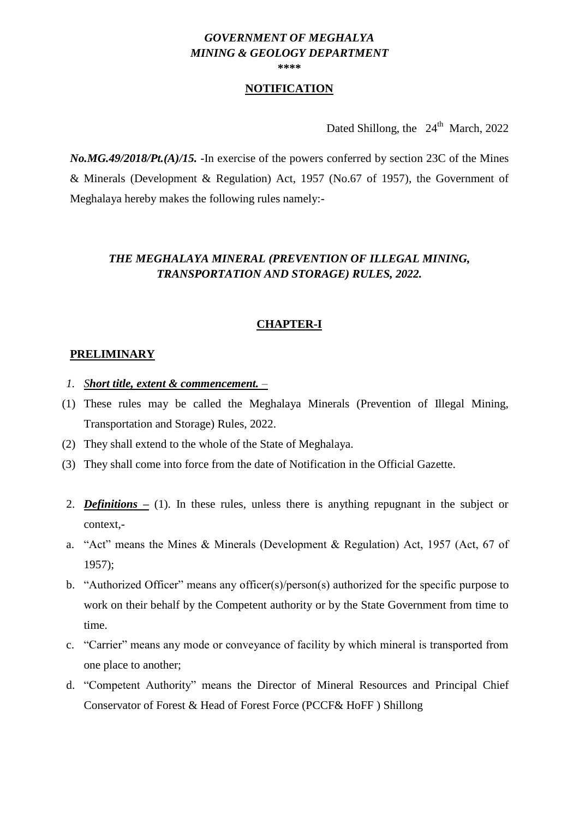#### *GOVERNMENT OF MEGHALYA MINING & GEOLOGY DEPARTMENT* **\*\*\*\***

## **NOTIFICATION**

Dated Shillong, the  $24<sup>th</sup>$  March, 2022

*No.MG.49/2018/Pt.(A)/15.* -In exercise of the powers conferred by section 23C of the Mines & Minerals (Development & Regulation) Act, 1957 (No.67 of 1957), the Government of Meghalaya hereby makes the following rules namely:-

# *THE MEGHALAYA MINERAL (PREVENTION OF ILLEGAL MINING, TRANSPORTATION AND STORAGE) RULES, 2022.*

# **CHAPTER-I**

#### **PRELIMINARY**

- *1. Short title, extent & commencement. –*
- (1) These rules may be called the Meghalaya Minerals (Prevention of Illegal Mining, Transportation and Storage) Rules, 2022.
- (2) They shall extend to the whole of the State of Meghalaya.
- (3) They shall come into force from the date of Notification in the Official Gazette.
- 2. *Definitions –* (1). In these rules, unless there is anything repugnant in the subject or context,-
- a. "Act" means the Mines & Minerals (Development & Regulation) Act, 1957 (Act, 67 of 1957);
- b. "Authorized Officer" means any officer(s)/person(s) authorized for the specific purpose to work on their behalf by the Competent authority or by the State Government from time to time.
- c. "Carrier" means any mode or conveyance of facility by which mineral is transported from one place to another;
- d. "Competent Authority" means the Director of Mineral Resources and Principal Chief Conservator of Forest & Head of Forest Force (PCCF& HoFF ) Shillong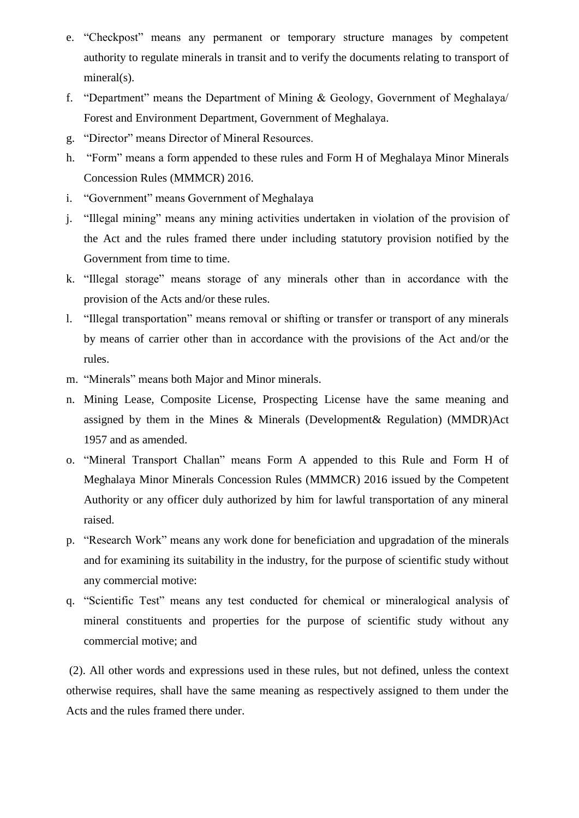- e. "Checkpost" means any permanent or temporary structure manages by competent authority to regulate minerals in transit and to verify the documents relating to transport of mineral(s).
- f. "Department" means the Department of Mining & Geology, Government of Meghalaya/ Forest and Environment Department, Government of Meghalaya.
- g. "Director" means Director of Mineral Resources.
- h. "Form" means a form appended to these rules and Form H of Meghalaya Minor Minerals Concession Rules (MMMCR) 2016.
- i. "Government" means Government of Meghalaya
- j. "Illegal mining" means any mining activities undertaken in violation of the provision of the Act and the rules framed there under including statutory provision notified by the Government from time to time.
- k. "Illegal storage" means storage of any minerals other than in accordance with the provision of the Acts and/or these rules.
- l. "Illegal transportation" means removal or shifting or transfer or transport of any minerals by means of carrier other than in accordance with the provisions of the Act and/or the rules.
- m. "Minerals" means both Major and Minor minerals.
- n. Mining Lease, Composite License, Prospecting License have the same meaning and assigned by them in the Mines & Minerals (Development& Regulation) (MMDR)Act 1957 and as amended.
- o. "Mineral Transport Challan" means Form A appended to this Rule and Form H of Meghalaya Minor Minerals Concession Rules (MMMCR) 2016 issued by the Competent Authority or any officer duly authorized by him for lawful transportation of any mineral raised.
- p. "Research Work" means any work done for beneficiation and upgradation of the minerals and for examining its suitability in the industry, for the purpose of scientific study without any commercial motive:
- q. "Scientific Test" means any test conducted for chemical or mineralogical analysis of mineral constituents and properties for the purpose of scientific study without any commercial motive; and

(2). All other words and expressions used in these rules, but not defined, unless the context otherwise requires, shall have the same meaning as respectively assigned to them under the Acts and the rules framed there under.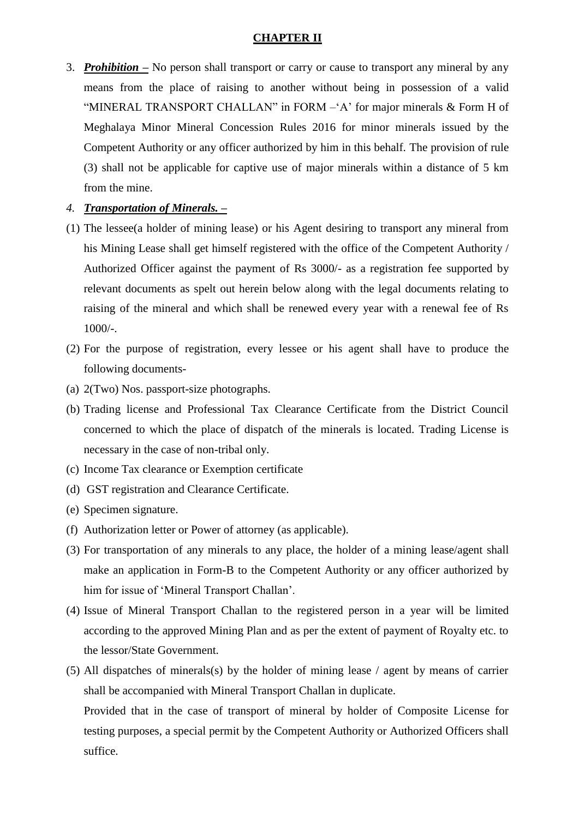## **CHAPTER II**

3. *Prohibition –* No person shall transport or carry or cause to transport any mineral by any means from the place of raising to another without being in possession of a valid "MINERAL TRANSPORT CHALLAN" in FORM  $- A$ " for major minerals  $\&$  Form H of Meghalaya Minor Mineral Concession Rules 2016 for minor minerals issued by the Competent Authority or any officer authorized by him in this behalf. The provision of rule (3) shall not be applicable for captive use of major minerals within a distance of 5 km from the mine.

# *4. Transportation of Minerals. –*

- (1) The lessee(a holder of mining lease) or his Agent desiring to transport any mineral from his Mining Lease shall get himself registered with the office of the Competent Authority / Authorized Officer against the payment of Rs 3000/- as a registration fee supported by relevant documents as spelt out herein below along with the legal documents relating to raising of the mineral and which shall be renewed every year with a renewal fee of Rs 1000/-.
- (2) For the purpose of registration, every lessee or his agent shall have to produce the following documents-
- (a) 2(Two) Nos. passport-size photographs.
- (b) Trading license and Professional Tax Clearance Certificate from the District Council concerned to which the place of dispatch of the minerals is located. Trading License is necessary in the case of non-tribal only.
- (c) Income Tax clearance or Exemption certificate
- (d) GST registration and Clearance Certificate.
- (e) Specimen signature.
- (f) Authorization letter or Power of attorney (as applicable).
- (3) For transportation of any minerals to any place, the holder of a mining lease/agent shall make an application in Form-B to the Competent Authority or any officer authorized by him for issue of 'Mineral Transport Challan'.
- (4) Issue of Mineral Transport Challan to the registered person in a year will be limited according to the approved Mining Plan and as per the extent of payment of Royalty etc. to the lessor/State Government.
- (5) All dispatches of minerals(s) by the holder of mining lease / agent by means of carrier shall be accompanied with Mineral Transport Challan in duplicate.

Provided that in the case of transport of mineral by holder of Composite License for testing purposes, a special permit by the Competent Authority or Authorized Officers shall suffice.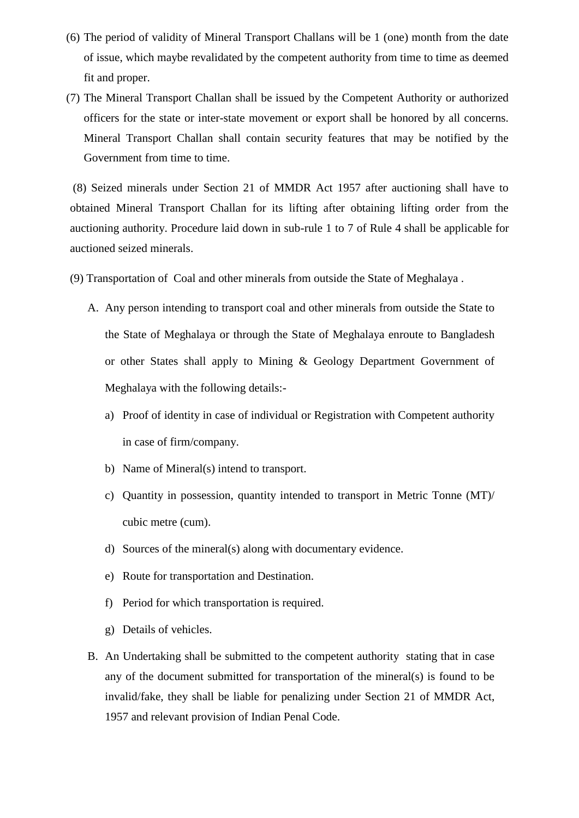- (6) The period of validity of Mineral Transport Challans will be 1 (one) month from the date of issue, which maybe revalidated by the competent authority from time to time as deemed fit and proper.
- (7) The Mineral Transport Challan shall be issued by the Competent Authority or authorized officers for the state or inter-state movement or export shall be honored by all concerns. Mineral Transport Challan shall contain security features that may be notified by the Government from time to time.

(8) Seized minerals under Section 21 of MMDR Act 1957 after auctioning shall have to obtained Mineral Transport Challan for its lifting after obtaining lifting order from the auctioning authority. Procedure laid down in sub-rule 1 to 7 of Rule 4 shall be applicable for auctioned seized minerals.

- (9) Transportation of Coal and other minerals from outside the State of Meghalaya .
	- A. Any person intending to transport coal and other minerals from outside the State to the State of Meghalaya or through the State of Meghalaya enroute to Bangladesh or other States shall apply to Mining & Geology Department Government of Meghalaya with the following details:
		- a) Proof of identity in case of individual or Registration with Competent authority in case of firm/company.
		- b) Name of Mineral(s) intend to transport.
		- c) Quantity in possession, quantity intended to transport in Metric Tonne (MT)/ cubic metre (cum).
		- d) Sources of the mineral(s) along with documentary evidence.
		- e) Route for transportation and Destination.
		- f) Period for which transportation is required.
		- g) Details of vehicles.
	- B. An Undertaking shall be submitted to the competent authority stating that in case any of the document submitted for transportation of the mineral(s) is found to be invalid/fake, they shall be liable for penalizing under Section 21 of MMDR Act, 1957 and relevant provision of Indian Penal Code.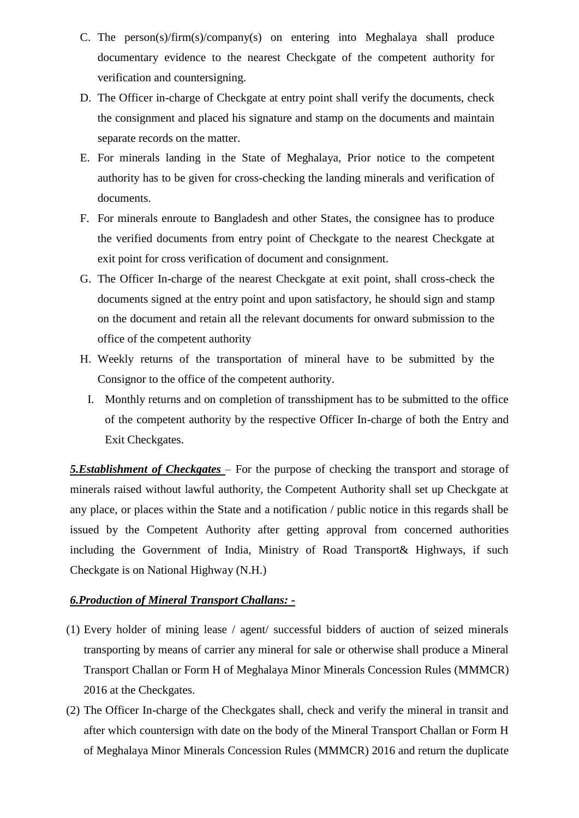- C. The person(s)/firm(s)/company(s) on entering into Meghalaya shall produce documentary evidence to the nearest Checkgate of the competent authority for verification and countersigning.
- D. The Officer in-charge of Checkgate at entry point shall verify the documents, check the consignment and placed his signature and stamp on the documents and maintain separate records on the matter.
- E. For minerals landing in the State of Meghalaya, Prior notice to the competent authority has to be given for cross-checking the landing minerals and verification of documents.
- F. For minerals enroute to Bangladesh and other States, the consignee has to produce the verified documents from entry point of Checkgate to the nearest Checkgate at exit point for cross verification of document and consignment.
- G. The Officer In-charge of the nearest Checkgate at exit point, shall cross-check the documents signed at the entry point and upon satisfactory, he should sign and stamp on the document and retain all the relevant documents for onward submission to the office of the competent authority
- H. Weekly returns of the transportation of mineral have to be submitted by the Consignor to the office of the competent authority.
	- I. Monthly returns and on completion of transshipment has to be submitted to the office of the competent authority by the respective Officer In-charge of both the Entry and Exit Checkgates.

*5.Establishment of Checkgates* – For the purpose of checking the transport and storage of minerals raised without lawful authority, the Competent Authority shall set up Checkgate at any place, or places within the State and a notification / public notice in this regards shall be issued by the Competent Authority after getting approval from concerned authorities including the Government of India, Ministry of Road Transport& Highways, if such Checkgate is on National Highway (N.H.)

# *6.Production of Mineral Transport Challans: -*

- (1) Every holder of mining lease / agent/ successful bidders of auction of seized minerals transporting by means of carrier any mineral for sale or otherwise shall produce a Mineral Transport Challan or Form H of Meghalaya Minor Minerals Concession Rules (MMMCR) 2016 at the Checkgates.
- (2) The Officer In-charge of the Checkgates shall, check and verify the mineral in transit and after which countersign with date on the body of the Mineral Transport Challan or Form H of Meghalaya Minor Minerals Concession Rules (MMMCR) 2016 and return the duplicate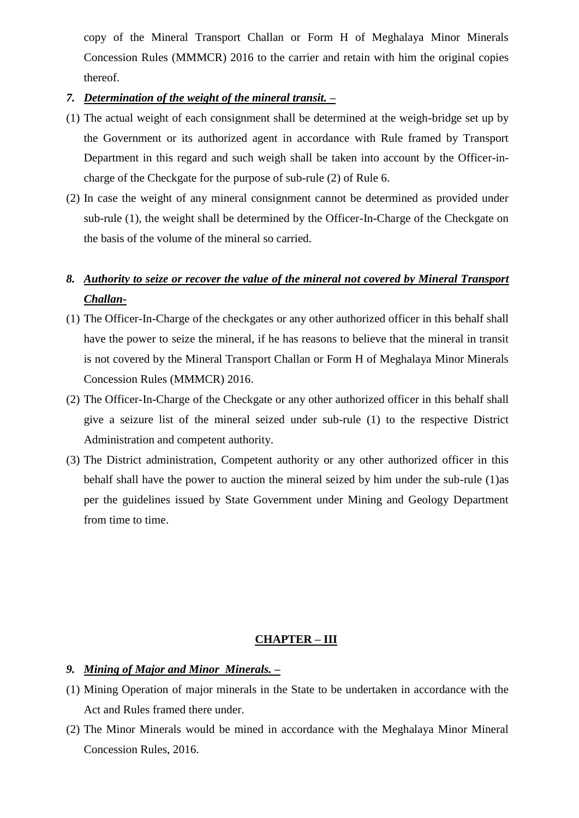copy of the Mineral Transport Challan or Form H of Meghalaya Minor Minerals Concession Rules (MMMCR) 2016 to the carrier and retain with him the original copies thereof.

## *7. Determination of the weight of the mineral transit. –*

- (1) The actual weight of each consignment shall be determined at the weigh-bridge set up by the Government or its authorized agent in accordance with Rule framed by Transport Department in this regard and such weigh shall be taken into account by the Officer-incharge of the Checkgate for the purpose of sub-rule (2) of Rule 6.
- (2) In case the weight of any mineral consignment cannot be determined as provided under sub-rule (1), the weight shall be determined by the Officer-In-Charge of the Checkgate on the basis of the volume of the mineral so carried.

# *8. Authority to seize or recover the value of the mineral not covered by Mineral Transport Challan-*

- (1) The Officer-In-Charge of the checkgates or any other authorized officer in this behalf shall have the power to seize the mineral, if he has reasons to believe that the mineral in transit is not covered by the Mineral Transport Challan or Form H of Meghalaya Minor Minerals Concession Rules (MMMCR) 2016.
- (2) The Officer-In-Charge of the Checkgate or any other authorized officer in this behalf shall give a seizure list of the mineral seized under sub-rule (1) to the respective District Administration and competent authority.
- (3) The District administration, Competent authority or any other authorized officer in this behalf shall have the power to auction the mineral seized by him under the sub-rule (1)as per the guidelines issued by State Government under Mining and Geology Department from time to time.

#### **CHAPTER – III**

## *9. Mining of Major and Minor Minerals. –*

- (1) Mining Operation of major minerals in the State to be undertaken in accordance with the Act and Rules framed there under.
- (2) The Minor Minerals would be mined in accordance with the Meghalaya Minor Mineral Concession Rules, 2016.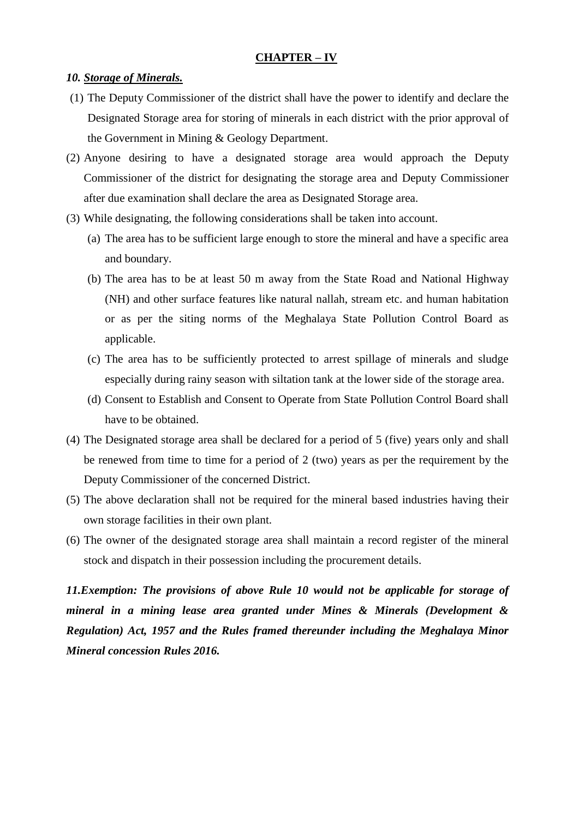#### **CHAPTER – IV**

#### *10. Storage of Minerals.*

- (1) The Deputy Commissioner of the district shall have the power to identify and declare the Designated Storage area for storing of minerals in each district with the prior approval of the Government in Mining & Geology Department.
- (2) Anyone desiring to have a designated storage area would approach the Deputy Commissioner of the district for designating the storage area and Deputy Commissioner after due examination shall declare the area as Designated Storage area.
- (3) While designating, the following considerations shall be taken into account.
	- (a) The area has to be sufficient large enough to store the mineral and have a specific area and boundary.
	- (b) The area has to be at least 50 m away from the State Road and National Highway (NH) and other surface features like natural nallah, stream etc. and human habitation or as per the siting norms of the Meghalaya State Pollution Control Board as applicable.
	- (c) The area has to be sufficiently protected to arrest spillage of minerals and sludge especially during rainy season with siltation tank at the lower side of the storage area.
	- (d) Consent to Establish and Consent to Operate from State Pollution Control Board shall have to be obtained.
- (4) The Designated storage area shall be declared for a period of 5 (five) years only and shall be renewed from time to time for a period of 2 (two) years as per the requirement by the Deputy Commissioner of the concerned District.
- (5) The above declaration shall not be required for the mineral based industries having their own storage facilities in their own plant.
- (6) The owner of the designated storage area shall maintain a record register of the mineral stock and dispatch in their possession including the procurement details.

*11.Exemption: The provisions of above Rule 10 would not be applicable for storage of mineral in a mining lease area granted under Mines & Minerals (Development & Regulation) Act, 1957 and the Rules framed thereunder including the Meghalaya Minor Mineral concession Rules 2016.*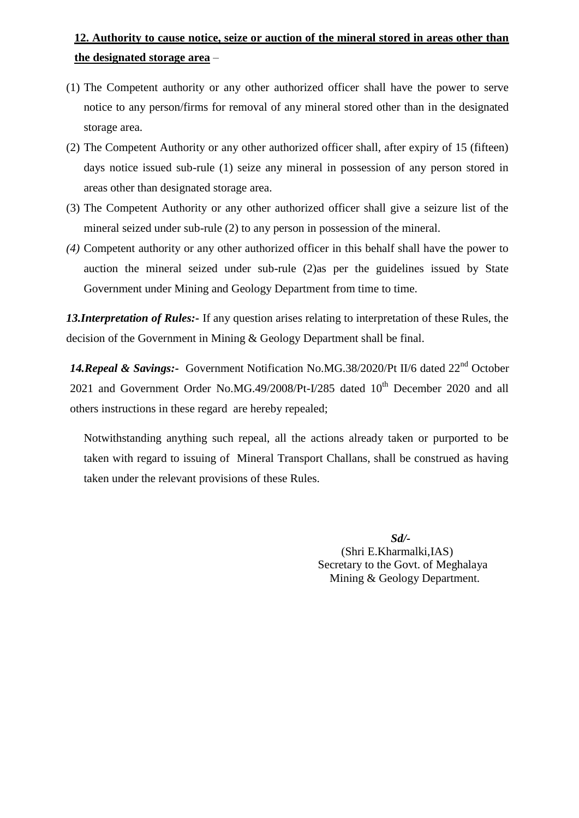# **12. Authority to cause notice, seize or auction of the mineral stored in areas other than the designated storage area** –

- (1) The Competent authority or any other authorized officer shall have the power to serve notice to any person/firms for removal of any mineral stored other than in the designated storage area.
- (2) The Competent Authority or any other authorized officer shall, after expiry of 15 (fifteen) days notice issued sub-rule (1) seize any mineral in possession of any person stored in areas other than designated storage area.
- (3) The Competent Authority or any other authorized officer shall give a seizure list of the mineral seized under sub-rule (2) to any person in possession of the mineral.
- *(4)* Competent authority or any other authorized officer in this behalf shall have the power to auction the mineral seized under sub-rule (2)as per the guidelines issued by State Government under Mining and Geology Department from time to time.

*13.Interpretation of Rules:-* If any question arises relating to interpretation of these Rules, the decision of the Government in Mining & Geology Department shall be final.

14. Repeal & Savings:- Government Notification No.MG.38/2020/Pt II/6 dated 22<sup>nd</sup> October 2021 and Government Order No.MG.49/2008/Pt-I/285 dated 10<sup>th</sup> December 2020 and all others instructions in these regard are hereby repealed;

Notwithstanding anything such repeal, all the actions already taken or purported to be taken with regard to issuing of Mineral Transport Challans, shall be construed as having taken under the relevant provisions of these Rules.

> *Sd/-* (Shri E.Kharmalki,IAS) Secretary to the Govt. of Meghalaya Mining & Geology Department.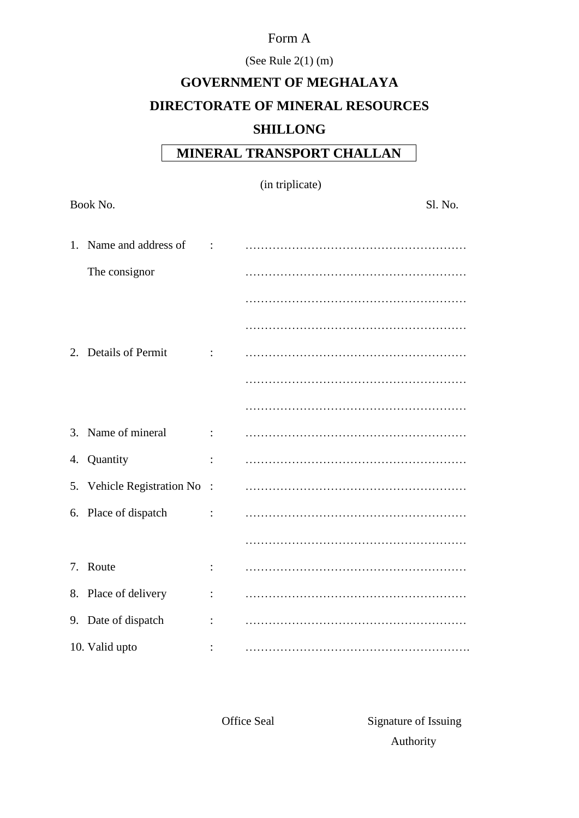# Form A

# (See Rule 2(1) (m)

# **GOVERNMENT OF MEGHALAYA DIRECTORATE OF MINERAL RESOURCES SHILLONG**

# **MINERAL TRANSPORT CHALLAN**

| (in triplicate) |  |  |  |
|-----------------|--|--|--|
|-----------------|--|--|--|

|    | Book No.                   |                | Sl. No. |
|----|----------------------------|----------------|---------|
| 1. | Name and address of        | $\ddot{\cdot}$ |         |
|    | The consignor              |                |         |
|    |                            |                |         |
|    |                            |                |         |
|    | 2. Details of Permit       |                |         |
|    |                            |                |         |
|    |                            |                |         |
|    | 3. Name of mineral         | $\ddot{\cdot}$ |         |
|    | 4. Quantity                | $\ddot{\cdot}$ |         |
|    | 5. Vehicle Registration No | $\ddot{\cdot}$ |         |
|    | 6. Place of dispatch       | $\ddot{\cdot}$ |         |
|    |                            |                |         |
|    | 7. Route                   |                |         |
|    | 8. Place of delivery       | $\ddot{\cdot}$ |         |
|    | 9. Date of dispatch        |                |         |
|    | 10. Valid upto             |                |         |

Office Seal Signature of Issuing Authority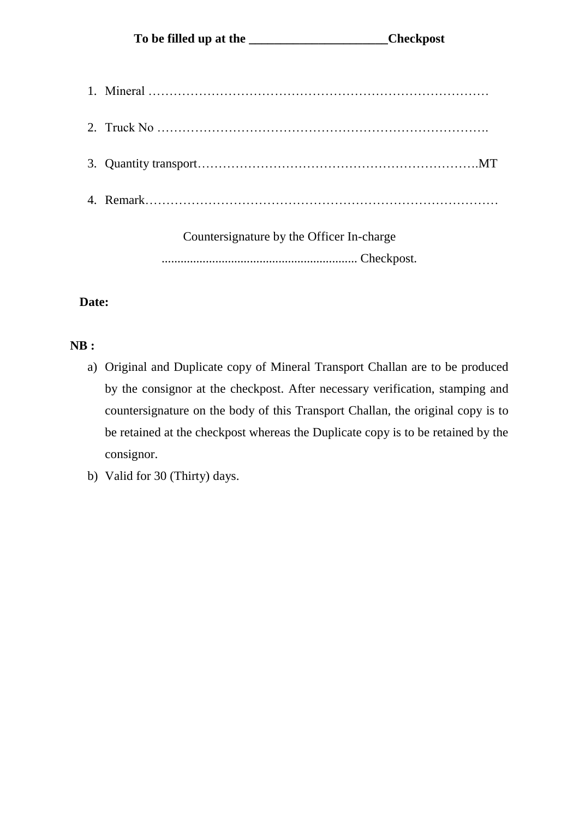Countersignature by the Officer In-charge .............................................................. Checkpost.

# **Date:**

# **NB :**

- a) Original and Duplicate copy of Mineral Transport Challan are to be produced by the consignor at the checkpost. After necessary verification, stamping and countersignature on the body of this Transport Challan, the original copy is to be retained at the checkpost whereas the Duplicate copy is to be retained by the consignor.
- b) Valid for 30 (Thirty) days.